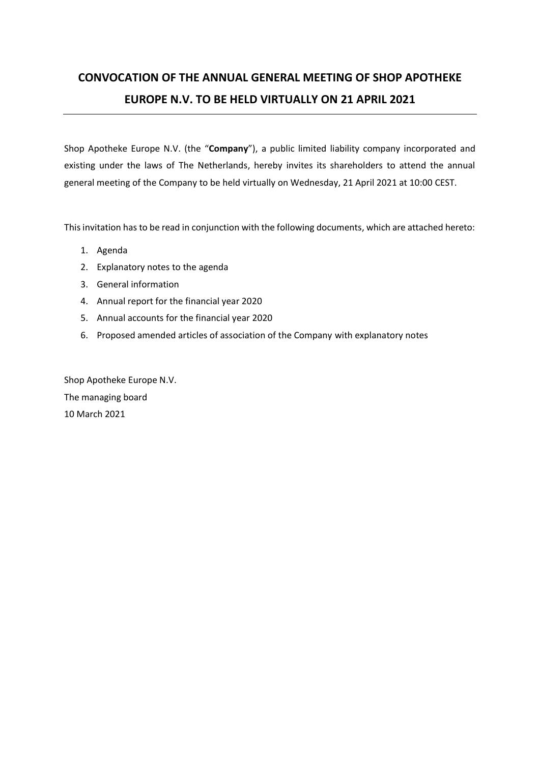# **CONVOCATION OF THE ANNUAL GENERAL MEETING OF SHOP APOTHEKE EUROPE N.V. TO BE HELD VIRTUALLY ON 21 APRIL 2021**

Shop Apotheke Europe N.V. (the "**Company**"), a public limited liability company incorporated and existing under the laws of The Netherlands, hereby invites its shareholders to attend the annual general meeting of the Company to be held virtually on Wednesday, 21 April 2021 at 10:00 CEST.

This invitation has to be read in conjunction with the following documents, which are attached hereto:

- 1. Agenda
- 2. Explanatory notes to the agenda
- 3. General information
- 4. Annual report for the financial year 2020
- 5. Annual accounts for the financial year 2020
- 6. Proposed amended articles of association of the Company with explanatory notes

Shop Apotheke Europe N.V. The managing board 10 March 2021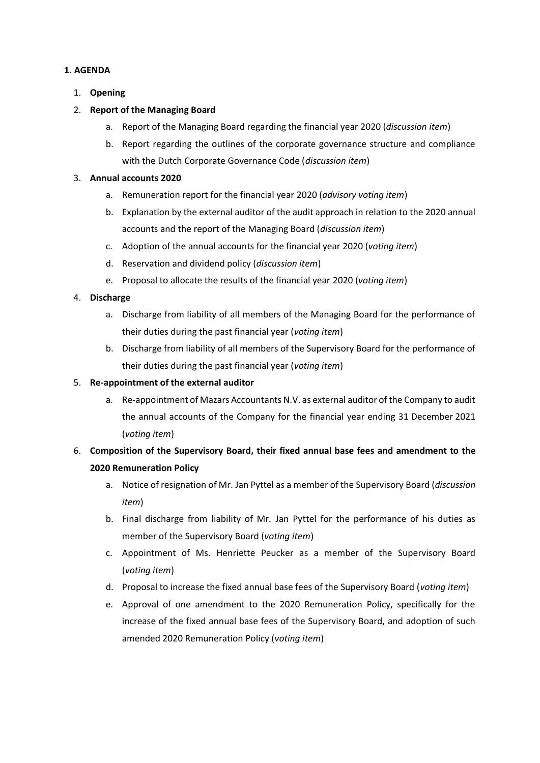### **1. AGENDA**

1. **Opening**

### 2. **Report of the Managing Board**

- a. Report of the Managing Board regarding the financial year 2020 (*discussion item*)
- b. Report regarding the outlines of the corporate governance structure and compliance with the Dutch Corporate Governance Code (*discussion item*)

### 3. **Annual accounts 2020**

- a. Remuneration report for the financial year 2020 (*advisory voting item*)
- b. Explanation by the external auditor of the audit approach in relation to the 2020 annual accounts and the report of the Managing Board (*discussion item*)
- c. Adoption of the annual accounts for the financial year 2020 (*voting item*)
- d. Reservation and dividend policy (*discussion item*)
- e. Proposal to allocate the results of the financial year 2020 (*voting item*)

### 4. **Discharge**

- a. Discharge from liability of all members of the Managing Board for the performance of their duties during the past financial year (*voting item*)
- b. Discharge from liability of all members of the Supervisory Board for the performance of their duties during the past financial year (*voting item*)

### 5. **Re-appointment of the external auditor**

- a. Re-appointment of Mazars Accountants N.V. as external auditor of the Company to audit the annual accounts of the Company for the financial year ending 31 December 2021 (*voting item*)
- 6. **Composition of the Supervisory Board, their fixed annual base fees and amendment to the 2020 Remuneration Policy**
	- a. Notice of resignation of Mr. Jan Pyttel as a member of the Supervisory Board (*discussion item*)
	- b. Final discharge from liability of Mr. Jan Pyttel for the performance of his duties as member of the Supervisory Board (*voting item*)
	- c. Appointment of Ms. Henriette Peucker as a member of the Supervisory Board (*voting item*)
	- d. Proposal to increase the fixed annual base fees of the Supervisory Board (*voting item*)
	- e. Approval of one amendment to the 2020 Remuneration Policy, specifically for the increase of the fixed annual base fees of the Supervisory Board, and adoption of such amended 2020 Remuneration Policy (*voting item*)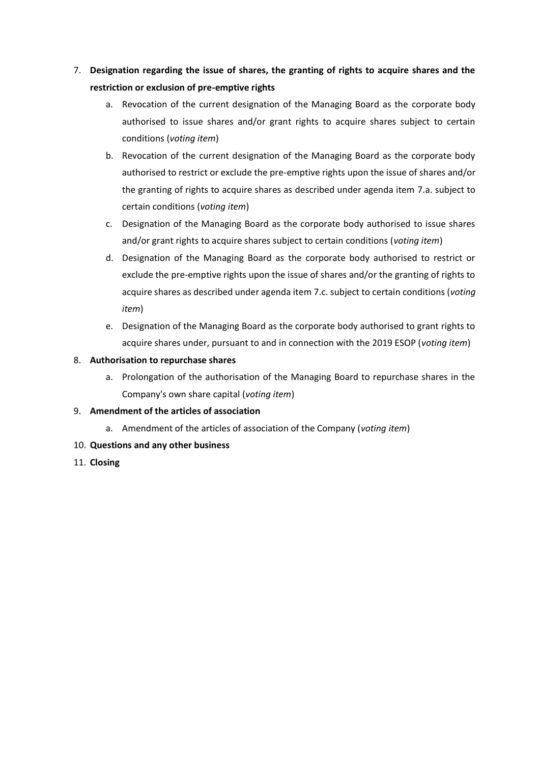# 7. **Designation regarding the issue of shares, the granting of rights to acquire shares and the restriction or exclusion of pre-emptive rights**

- a. Revocation of the current designation of the Managing Board as the corporate body authorised to issue shares and/or grant rights to acquire shares subject to certain conditions (*voting item*)
- b. Revocation of the current designation of the Managing Board as the corporate body authorised to restrict or exclude the pre-emptive rights upon the issue of shares and/or the granting of rights to acquire shares as described under agenda item 7.a. subject to certain conditions (*voting item*)
- c. Designation of the Managing Board as the corporate body authorised to issue shares and/or grant rights to acquire shares subject to certain conditions (*voting item*)
- d. Designation of the Managing Board as the corporate body authorised to restrict or exclude the pre-emptive rights upon the issue of shares and/or the granting of rights to acquire shares as described under agenda item 7.c. subject to certain conditions (*voting item*)
- e. Designation of the Managing Board as the corporate body authorised to grant rights to acquire shares under, pursuant to and in connection with the 2019 ESOP (*voting item*)

### 8. **Authorisation to repurchase shares**

a. Prolongation of the authorisation of the Managing Board to repurchase shares in the Company's own share capital (*voting item*)

### 9. **Amendment of the articles of association**

- a. Amendment of the articles of association of the Company (*voting item*)
- 10. **Questions and any other business**
- 11. **Closing**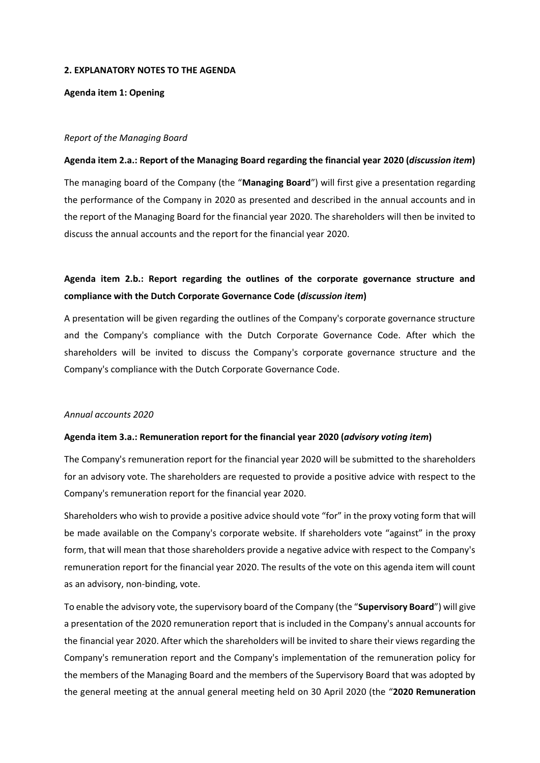#### **2. EXPLANATORY NOTES TO THE AGENDA**

**Agenda item 1: Opening**

#### *Report of the Managing Board*

#### **Agenda item 2.a.: Report of the Managing Board regarding the financial year 2020 (***discussion item***)**

The managing board of the Company (the "**Managing Board**") will first give a presentation regarding the performance of the Company in 2020 as presented and described in the annual accounts and in the report of the Managing Board for the financial year 2020. The shareholders will then be invited to discuss the annual accounts and the report for the financial year 2020.

### **Agenda item 2.b.: Report regarding the outlines of the corporate governance structure and compliance with the Dutch Corporate Governance Code (***discussion item***)**

A presentation will be given regarding the outlines of the Company's corporate governance structure and the Company's compliance with the Dutch Corporate Governance Code. After which the shareholders will be invited to discuss the Company's corporate governance structure and the Company's compliance with the Dutch Corporate Governance Code.

### *Annual accounts 2020*

#### **Agenda item 3.a.: Remuneration report for the financial year 2020 (***advisory voting item***)**

The Company's remuneration report for the financial year 2020 will be submitted to the shareholders for an advisory vote. The shareholders are requested to provide a positive advice with respect to the Company's remuneration report for the financial year 2020.

Shareholders who wish to provide a positive advice should vote "for" in the proxy voting form that will be made available on the Company's corporate website. If shareholders vote "against" in the proxy form, that will mean that those shareholders provide a negative advice with respect to the Company's remuneration report for the financial year 2020. The results of the vote on this agenda item will count as an advisory, non-binding, vote.

To enable the advisory vote, the supervisory board of the Company (the "**Supervisory Board**") will give a presentation of the 2020 remuneration report that is included in the Company's annual accounts for the financial year 2020. After which the shareholders will be invited to share their views regarding the Company's remuneration report and the Company's implementation of the remuneration policy for the members of the Managing Board and the members of the Supervisory Board that was adopted by the general meeting at the annual general meeting held on 30 April 2020 (the "**2020 Remuneration**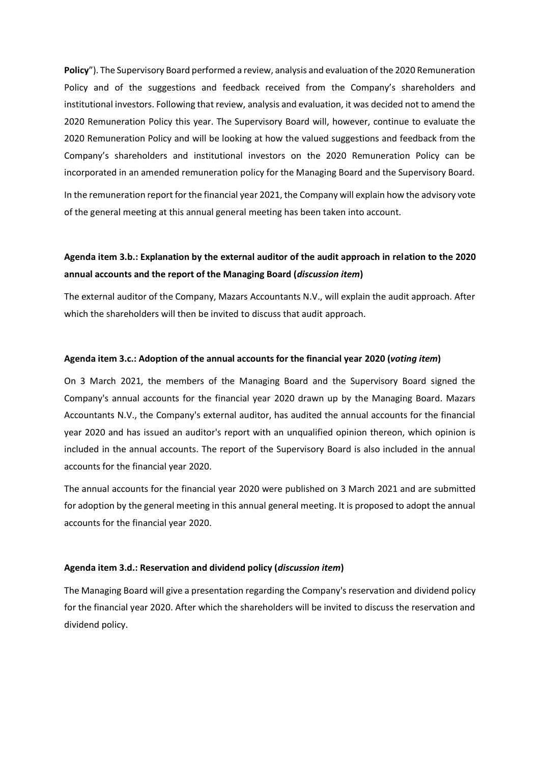**Policy**"). The Supervisory Board performed a review, analysis and evaluation of the 2020 Remuneration Policy and of the suggestions and feedback received from the Company's shareholders and institutional investors. Following that review, analysis and evaluation, it was decided not to amend the 2020 Remuneration Policy this year. The Supervisory Board will, however, continue to evaluate the 2020 Remuneration Policy and will be looking at how the valued suggestions and feedback from the Company's shareholders and institutional investors on the 2020 Remuneration Policy can be incorporated in an amended remuneration policy for the Managing Board and the Supervisory Board.

In the remuneration report for the financial year 2021, the Company will explain how the advisory vote of the general meeting at this annual general meeting has been taken into account.

### **Agenda item 3.b.: Explanation by the external auditor of the audit approach in relation to the 2020 annual accounts and the report of the Managing Board (***discussion item***)**

The external auditor of the Company, Mazars Accountants N.V., will explain the audit approach. After which the shareholders will then be invited to discuss that audit approach.

#### **Agenda item 3.c.: Adoption of the annual accounts for the financial year 2020 (***voting item***)**

On 3 March 2021, the members of the Managing Board and the Supervisory Board signed the Company's annual accounts for the financial year 2020 drawn up by the Managing Board. Mazars Accountants N.V., the Company's external auditor, has audited the annual accounts for the financial year 2020 and has issued an auditor's report with an unqualified opinion thereon, which opinion is included in the annual accounts. The report of the Supervisory Board is also included in the annual accounts for the financial year 2020.

The annual accounts for the financial year 2020 were published on 3 March 2021 and are submitted for adoption by the general meeting in this annual general meeting. It is proposed to adopt the annual accounts for the financial year 2020.

#### **Agenda item 3.d.: Reservation and dividend policy (***discussion item***)**

The Managing Board will give a presentation regarding the Company's reservation and dividend policy for the financial year 2020. After which the shareholders will be invited to discuss the reservation and dividend policy.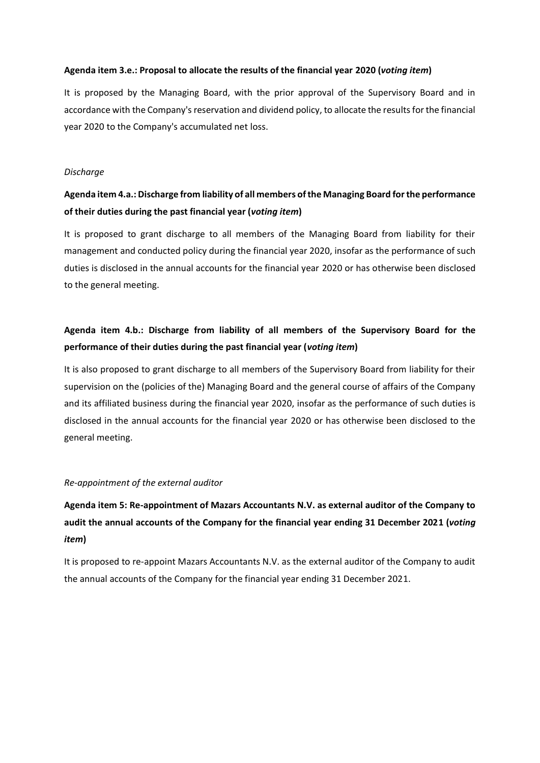### **Agenda item 3.e.: Proposal to allocate the results of the financial year 2020 (***voting item***)**

It is proposed by the Managing Board, with the prior approval of the Supervisory Board and in accordance with the Company's reservation and dividend policy, to allocate the results for the financial year 2020 to the Company's accumulated net loss.

### *Discharge*

# **Agenda item 4.a.: Discharge from liability of all members of the Managing Board for the performance of their duties during the past financial year (***voting item***)**

It is proposed to grant discharge to all members of the Managing Board from liability for their management and conducted policy during the financial year 2020, insofar as the performance of such duties is disclosed in the annual accounts for the financial year 2020 or has otherwise been disclosed to the general meeting.

### **Agenda item 4.b.: Discharge from liability of all members of the Supervisory Board for the performance of their duties during the past financial year (***voting item***)**

It is also proposed to grant discharge to all members of the Supervisory Board from liability for their supervision on the (policies of the) Managing Board and the general course of affairs of the Company and its affiliated business during the financial year 2020, insofar as the performance of such duties is disclosed in the annual accounts for the financial year 2020 or has otherwise been disclosed to the general meeting.

### *Re-appointment of the external auditor*

**Agenda item 5: Re-appointment of Mazars Accountants N.V. as external auditor of the Company to audit the annual accounts of the Company for the financial year ending 31 December 2021 (***voting item***)**

It is proposed to re-appoint Mazars Accountants N.V. as the external auditor of the Company to audit the annual accounts of the Company for the financial year ending 31 December 2021.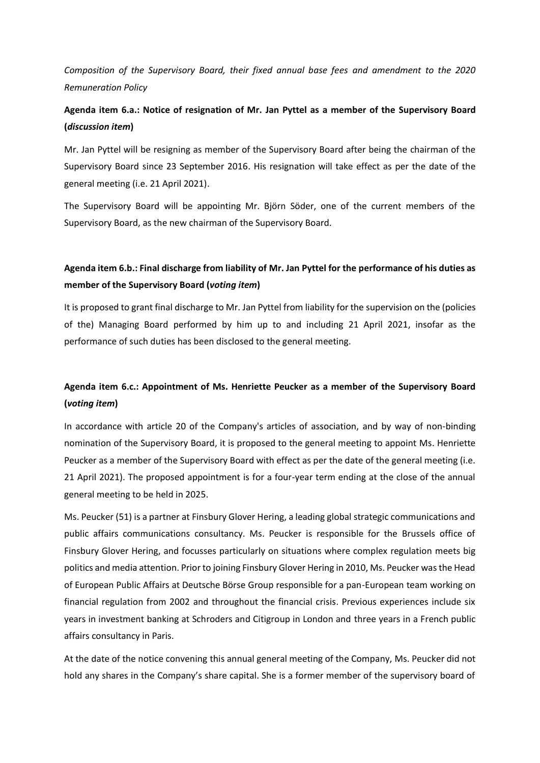*Composition of the Supervisory Board, their fixed annual base fees and amendment to the 2020 Remuneration Policy*

### **Agenda item 6.a.: Notice of resignation of Mr. Jan Pyttel as a member of the Supervisory Board (***discussion item***)**

Mr. Jan Pyttel will be resigning as member of the Supervisory Board after being the chairman of the Supervisory Board since 23 September 2016. His resignation will take effect as per the date of the general meeting (i.e. 21 April 2021).

The Supervisory Board will be appointing Mr. Björn Söder, one of the current members of the Supervisory Board, as the new chairman of the Supervisory Board.

### **Agenda item 6.b.: Final discharge from liability of Mr. Jan Pyttel for the performance of his duties as member of the Supervisory Board (***voting item***)**

It is proposed to grant final discharge to Mr. Jan Pyttel from liability for the supervision on the (policies of the) Managing Board performed by him up to and including 21 April 2021, insofar as the performance of such duties has been disclosed to the general meeting.

# **Agenda item 6.c.: Appointment of Ms. Henriette Peucker as a member of the Supervisory Board (***voting item***)**

In accordance with article 20 of the Company's articles of association, and by way of non-binding nomination of the Supervisory Board, it is proposed to the general meeting to appoint Ms. Henriette Peucker as a member of the Supervisory Board with effect as per the date of the general meeting (i.e. 21 April 2021). The proposed appointment is for a four-year term ending at the close of the annual general meeting to be held in 2025.

Ms. Peucker (51) is a partner at Finsbury Glover Hering, a leading global strategic communications and public affairs communications consultancy. Ms. Peucker is responsible for the Brussels office of Finsbury Glover Hering, and focusses particularly on situations where complex regulation meets big politics and media attention. Prior to joining Finsbury Glover Hering in 2010, Ms. Peucker was the Head of European Public Affairs at Deutsche Börse Group responsible for a pan-European team working on financial regulation from 2002 and throughout the financial crisis. Previous experiences include six years in investment banking at Schroders and Citigroup in London and three years in a French public affairs consultancy in Paris.

At the date of the notice convening this annual general meeting of the Company, Ms. Peucker did not hold any shares in the Company's share capital. She is a former member of the supervisory board of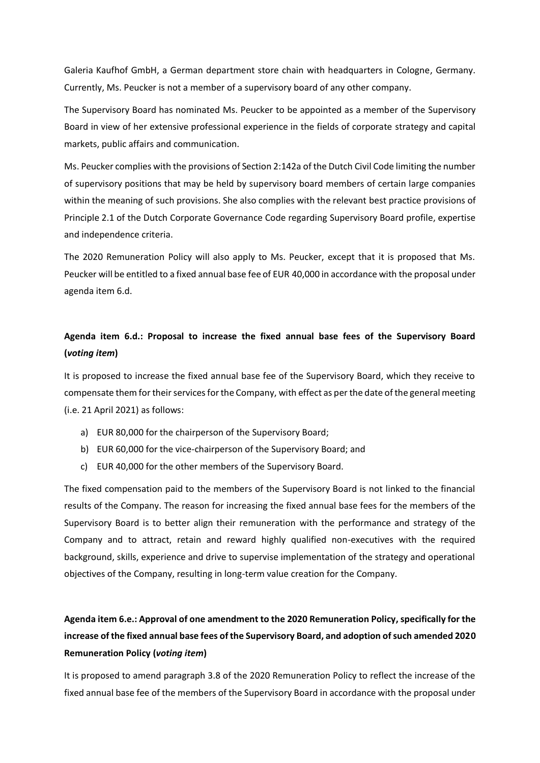Galeria Kaufhof GmbH, a German department store chain with headquarters in Cologne, Germany. Currently, Ms. Peucker is not a member of a supervisory board of any other company.

The Supervisory Board has nominated Ms. Peucker to be appointed as a member of the Supervisory Board in view of her extensive professional experience in the fields of corporate strategy and capital markets, public affairs and communication.

Ms. Peucker complies with the provisions of Section 2:142a of the Dutch Civil Code limiting the number of supervisory positions that may be held by supervisory board members of certain large companies within the meaning of such provisions. She also complies with the relevant best practice provisions of Principle 2.1 of the Dutch Corporate Governance Code regarding Supervisory Board profile, expertise and independence criteria.

The 2020 Remuneration Policy will also apply to Ms. Peucker, except that it is proposed that Ms. Peucker will be entitled to a fixed annual base fee of EUR 40,000 in accordance with the proposal under agenda item 6.d.

# **Agenda item 6.d.: Proposal to increase the fixed annual base fees of the Supervisory Board (***voting item***)**

It is proposed to increase the fixed annual base fee of the Supervisory Board, which they receive to compensate them for their services for the Company, with effect as per the date of the general meeting (i.e. 21 April 2021) as follows:

- a) EUR 80,000 for the chairperson of the Supervisory Board;
- b) EUR 60,000 for the vice-chairperson of the Supervisory Board; and
- c) EUR 40,000 for the other members of the Supervisory Board.

The fixed compensation paid to the members of the Supervisory Board is not linked to the financial results of the Company. The reason for increasing the fixed annual base fees for the members of the Supervisory Board is to better align their remuneration with the performance and strategy of the Company and to attract, retain and reward highly qualified non-executives with the required background, skills, experience and drive to supervise implementation of the strategy and operational objectives of the Company, resulting in long-term value creation for the Company.

# **Agenda item 6.e.: Approval of one amendment to the 2020 Remuneration Policy, specifically for the increase of the fixed annual base fees of the Supervisory Board, and adoption of such amended 2020 Remuneration Policy (***voting item***)**

It is proposed to amend paragraph 3.8 of the 2020 Remuneration Policy to reflect the increase of the fixed annual base fee of the members of the Supervisory Board in accordance with the proposal under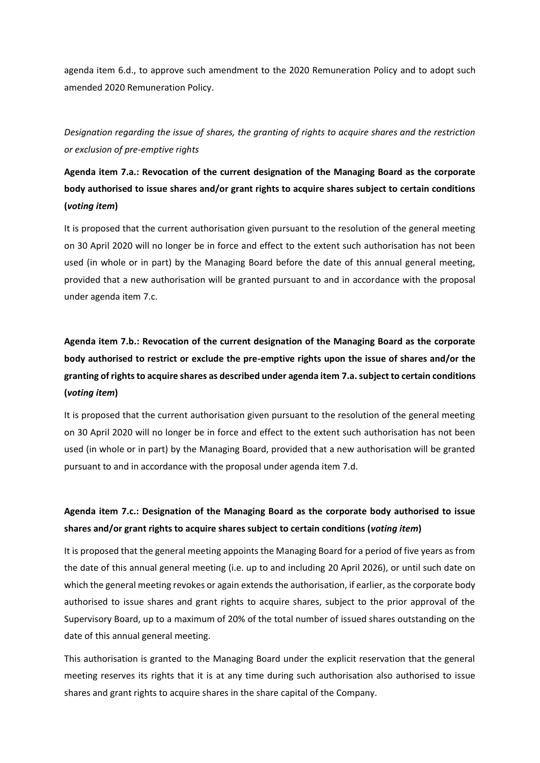agenda item 6.d., to approve such amendment to the 2020 Remuneration Policy and to adopt such amended 2020 Remuneration Policy.

*Designation regarding the issue of shares, the granting of rights to acquire shares and the restriction or exclusion of pre-emptive rights*

# **Agenda item 7.a.: Revocation of the current designation of the Managing Board as the corporate body authorised to issue shares and/or grant rights to acquire shares subject to certain conditions (***voting item***)**

It is proposed that the current authorisation given pursuant to the resolution of the general meeting on 30 April 2020 will no longer be in force and effect to the extent such authorisation has not been used (in whole or in part) by the Managing Board before the date of this annual general meeting, provided that a new authorisation will be granted pursuant to and in accordance with the proposal under agenda item 7.c.

# **Agenda item 7.b.: Revocation of the current designation of the Managing Board as the corporate body authorised to restrict or exclude the pre-emptive rights upon the issue of shares and/or the granting of rights to acquire shares as described under agenda item 7.a. subject to certain conditions (***voting item***)**

It is proposed that the current authorisation given pursuant to the resolution of the general meeting on 30 April 2020 will no longer be in force and effect to the extent such authorisation has not been used (in whole or in part) by the Managing Board, provided that a new authorisation will be granted pursuant to and in accordance with the proposal under agenda item 7.d.

# **Agenda item 7.c.: Designation of the Managing Board as the corporate body authorised to issue shares and/or grant rights to acquire shares subject to certain conditions (***voting item***)**

It is proposed that the general meeting appoints the Managing Board for a period of five years as from the date of this annual general meeting (i.e. up to and including 20 April 2026), or until such date on which the general meeting revokes or again extends the authorisation, if earlier, as the corporate body authorised to issue shares and grant rights to acquire shares, subject to the prior approval of the Supervisory Board, up to a maximum of 20% of the total number of issued shares outstanding on the date of this annual general meeting.

This authorisation is granted to the Managing Board under the explicit reservation that the general meeting reserves its rights that it is at any time during such authorisation also authorised to issue shares and grant rights to acquire shares in the share capital of the Company.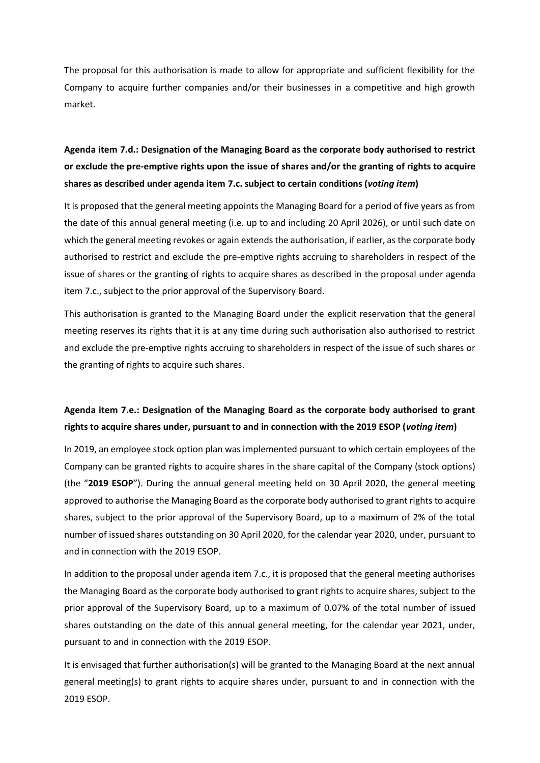The proposal for this authorisation is made to allow for appropriate and sufficient flexibility for the Company to acquire further companies and/or their businesses in a competitive and high growth market.

# **Agenda item 7.d.: Designation of the Managing Board as the corporate body authorised to restrict or exclude the pre-emptive rights upon the issue of shares and/or the granting of rights to acquire shares as described under agenda item 7.c. subject to certain conditions (***voting item***)**

It is proposed that the general meeting appoints the Managing Board for a period of five years as from the date of this annual general meeting (i.e. up to and including 20 April 2026), or until such date on which the general meeting revokes or again extends the authorisation, if earlier, as the corporate body authorised to restrict and exclude the pre-emptive rights accruing to shareholders in respect of the issue of shares or the granting of rights to acquire shares as described in the proposal under agenda item 7.c., subject to the prior approval of the Supervisory Board.

This authorisation is granted to the Managing Board under the explicit reservation that the general meeting reserves its rights that it is at any time during such authorisation also authorised to restrict and exclude the pre-emptive rights accruing to shareholders in respect of the issue of such shares or the granting of rights to acquire such shares.

# **Agenda item 7.e.: Designation of the Managing Board as the corporate body authorised to grant rights to acquire shares under, pursuant to and in connection with the 2019 ESOP (***voting item***)**

In 2019, an employee stock option plan was implemented pursuant to which certain employees of the Company can be granted rights to acquire shares in the share capital of the Company (stock options) (the "**2019 ESOP**"). During the annual general meeting held on 30 April 2020, the general meeting approved to authorise the Managing Board as the corporate body authorised to grant rights to acquire shares, subject to the prior approval of the Supervisory Board, up to a maximum of 2% of the total number of issued shares outstanding on 30 April 2020, for the calendar year 2020, under, pursuant to and in connection with the 2019 ESOP.

In addition to the proposal under agenda item 7.c., it is proposed that the general meeting authorises the Managing Board as the corporate body authorised to grant rights to acquire shares, subject to the prior approval of the Supervisory Board, up to a maximum of 0.07% of the total number of issued shares outstanding on the date of this annual general meeting, for the calendar year 2021, under, pursuant to and in connection with the 2019 ESOP.

It is envisaged that further authorisation(s) will be granted to the Managing Board at the next annual general meeting(s) to grant rights to acquire shares under, pursuant to and in connection with the 2019 ESOP.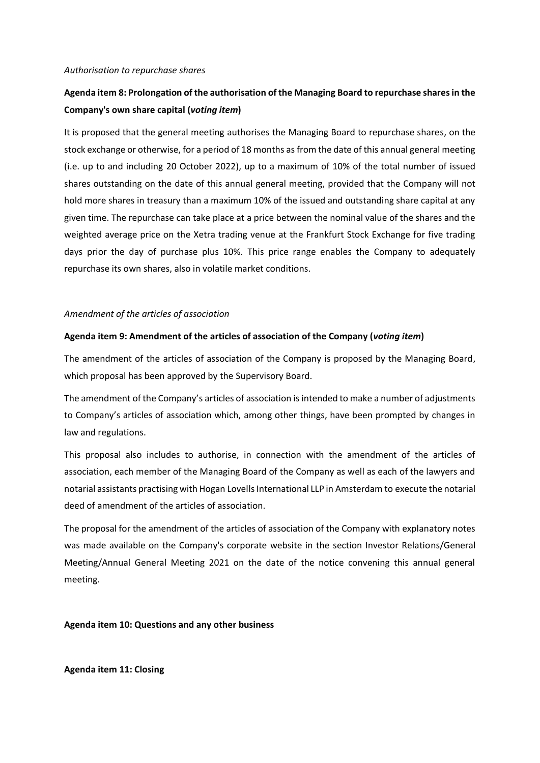#### *Authorisation to repurchase shares*

# **Agenda item 8: Prolongation of the authorisation of the Managing Board to repurchase shares in the Company's own share capital (***voting item***)**

It is proposed that the general meeting authorises the Managing Board to repurchase shares, on the stock exchange or otherwise, for a period of 18 months as from the date of this annual general meeting (i.e. up to and including 20 October 2022), up to a maximum of 10% of the total number of issued shares outstanding on the date of this annual general meeting, provided that the Company will not hold more shares in treasury than a maximum 10% of the issued and outstanding share capital at any given time. The repurchase can take place at a price between the nominal value of the shares and the weighted average price on the Xetra trading venue at the Frankfurt Stock Exchange for five trading days prior the day of purchase plus 10%. This price range enables the Company to adequately repurchase its own shares, also in volatile market conditions.

### *Amendment of the articles of association*

### **Agenda item 9: Amendment of the articles of association of the Company (***voting item***)**

The amendment of the articles of association of the Company is proposed by the Managing Board, which proposal has been approved by the Supervisory Board.

The amendment of the Company's articles of association is intended to make a number of adjustments to Company's articles of association which, among other things, have been prompted by changes in law and regulations.

This proposal also includes to authorise, in connection with the amendment of the articles of association, each member of the Managing Board of the Company as well as each of the lawyers and notarial assistants practising with Hogan Lovells International LLP in Amsterdam to execute the notarial deed of amendment of the articles of association.

The proposal for the amendment of the articles of association of the Company with explanatory notes was made available on the Company's corporate website in the section Investor Relations/General Meeting/Annual General Meeting 2021 on the date of the notice convening this annual general meeting.

**Agenda item 10: Questions and any other business**

**Agenda item 11: Closing**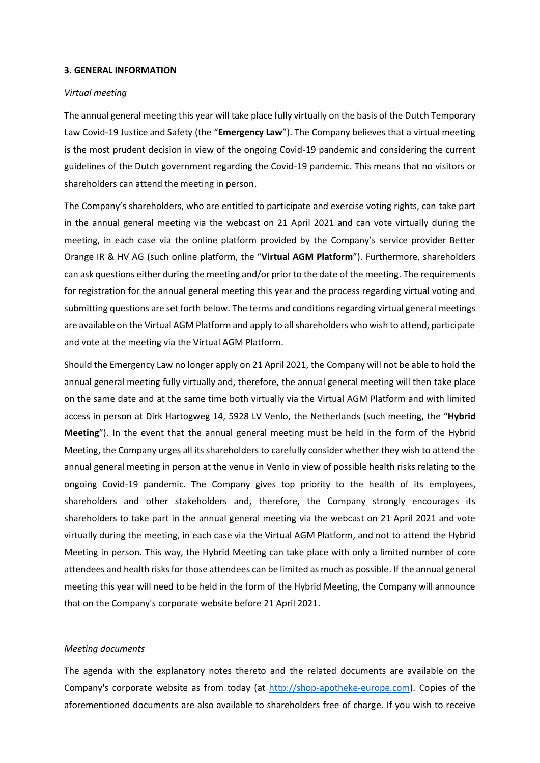#### **3. GENERAL INFORMATION**

#### *Virtual meeting*

The annual general meeting this year will take place fully virtually on the basis of the Dutch Temporary Law Covid-19 Justice and Safety (the "**Emergency Law**"). The Company believes that a virtual meeting is the most prudent decision in view of the ongoing Covid-19 pandemic and considering the current guidelines of the Dutch government regarding the Covid-19 pandemic. This means that no visitors or shareholders can attend the meeting in person.

The Company's shareholders, who are entitled to participate and exercise voting rights, can take part in the annual general meeting via the webcast on 21 April 2021 and can vote virtually during the meeting, in each case via the online platform provided by the Company's service provider Better Orange IR & HV AG (such online platform, the "**Virtual AGM Platform**"). Furthermore, shareholders can ask questions either during the meeting and/or prior to the date of the meeting. The requirements for registration for the annual general meeting this year and the process regarding virtual voting and submitting questions are set forth below. The terms and conditions regarding virtual general meetings are available on the Virtual AGM Platform and apply to all shareholders who wish to attend, participate and vote at the meeting via the Virtual AGM Platform.

Should the Emergency Law no longer apply on 21 April 2021, the Company will not be able to hold the annual general meeting fully virtually and, therefore, the annual general meeting will then take place on the same date and at the same time both virtually via the Virtual AGM Platform and with limited access in person at Dirk Hartogweg 14, 5928 LV Venlo, the Netherlands (such meeting, the "**Hybrid Meeting**"). In the event that the annual general meeting must be held in the form of the Hybrid Meeting, the Company urges all its shareholders to carefully consider whether they wish to attend the annual general meeting in person at the venue in Venlo in view of possible health risks relating to the ongoing Covid-19 pandemic. The Company gives top priority to the health of its employees, shareholders and other stakeholders and, therefore, the Company strongly encourages its shareholders to take part in the annual general meeting via the webcast on 21 April 2021 and vote virtually during the meeting, in each case via the Virtual AGM Platform, and not to attend the Hybrid Meeting in person. This way, the Hybrid Meeting can take place with only a limited number of core attendees and health risks for those attendees can be limited as much as possible. If the annual general meeting this year will need to be held in the form of the Hybrid Meeting, the Company will announce that on the Company's corporate website before 21 April 2021.

### *Meeting documents*

The agenda with the explanatory notes thereto and the related documents are available on the Company's corporate website as from today (at [http://shop-apotheke-europe.com\)](http://shop-apotheke-europe.com/). Copies of the aforementioned documents are also available to shareholders free of charge. If you wish to receive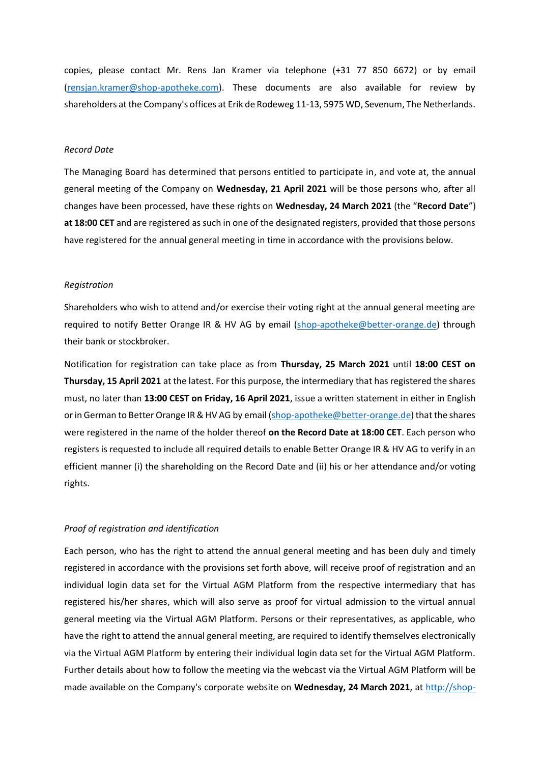copies, please contact Mr. Rens Jan Kramer via telephone (+31 77 850 6672) or by email [\(rensjan.kramer@shop-apotheke.com\)](mailto:rensjan.kramer@shop-apotheke.com). These documents are also available for review by shareholders at the Company's offices at Erik de Rodeweg 11-13, 5975 WD, Sevenum, The Netherlands.

#### *Record Date*

The Managing Board has determined that persons entitled to participate in, and vote at, the annual general meeting of the Company on **Wednesday, 21 April 2021** will be those persons who, after all changes have been processed, have these rights on **Wednesday, 24 March 2021** (the "**Record Date**") **at 18:00 CET** and are registered as such in one of the designated registers, provided that those persons have registered for the annual general meeting in time in accordance with the provisions below.

#### *Registration*

Shareholders who wish to attend and/or exercise their voting right at the annual general meeting are required to notify Better Orange IR & HV AG by email [\(shop-apotheke@better-orange.de\)](mailto:shop-apotheke@better-orange.de) through their bank or stockbroker.

Notification for registration can take place as from **Thursday, 25 March 2021** until **18:00 CEST on Thursday, 15 April 2021** at the latest. For this purpose, the intermediary that has registered the shares must, no later than **13:00 CEST on Friday, 16 April 2021**, issue a written statement in either in English or in German to Better Orange IR & HV AG by email [\(shop-apotheke@better-orange.de\)](mailto:shop-apotheke@better-orange.de) that the shares were registered in the name of the holder thereof **on the Record Date at 18:00 CET**. Each person who registers is requested to include all required details to enable Better Orange IR & HV AG to verify in an efficient manner (i) the shareholding on the Record Date and (ii) his or her attendance and/or voting rights.

#### *Proof of registration and identification*

Each person, who has the right to attend the annual general meeting and has been duly and timely registered in accordance with the provisions set forth above, will receive proof of registration and an individual login data set for the Virtual AGM Platform from the respective intermediary that has registered his/her shares, which will also serve as proof for virtual admission to the virtual annual general meeting via the Virtual AGM Platform. Persons or their representatives, as applicable, who have the right to attend the annual general meeting, are required to identify themselves electronically via the Virtual AGM Platform by entering their individual login data set for the Virtual AGM Platform. Further details about how to follow the meeting via the webcast via the Virtual AGM Platform will be made available on the Company's corporate website on **Wednesday, 24 March 2021**, at [http://shop-](http://shop-apotheke-europe.com/)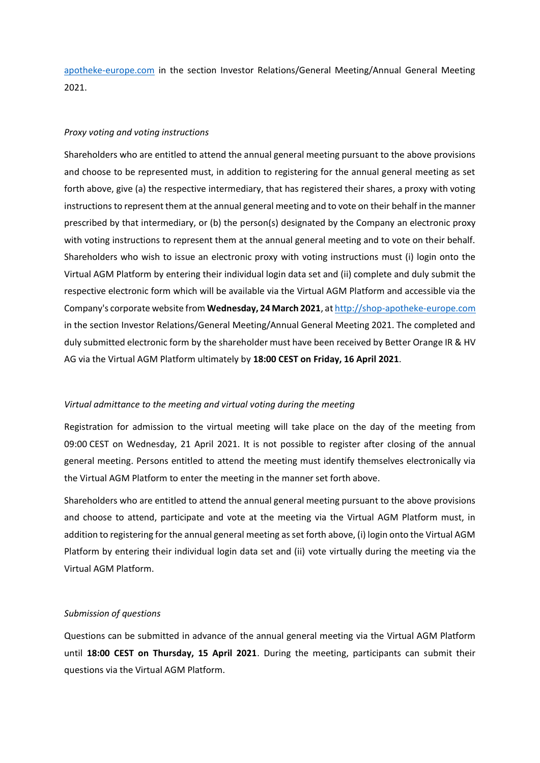[apotheke-europe.com](http://shop-apotheke-europe.com/) in the section Investor Relations/General Meeting/Annual General Meeting 2021.

### *Proxy voting and voting instructions*

Shareholders who are entitled to attend the annual general meeting pursuant to the above provisions and choose to be represented must, in addition to registering for the annual general meeting as set forth above, give (a) the respective intermediary, that has registered their shares, a proxy with voting instructions to represent them at the annual general meeting and to vote on their behalf in the manner prescribed by that intermediary, or (b) the person(s) designated by the Company an electronic proxy with voting instructions to represent them at the annual general meeting and to vote on their behalf. Shareholders who wish to issue an electronic proxy with voting instructions must (i) login onto the Virtual AGM Platform by entering their individual login data set and (ii) complete and duly submit the respective electronic form which will be available via the Virtual AGM Platform and accessible via the Company's corporate website from **Wednesday, 24 March 2021**, a[t http://shop-apotheke-europe.com](http://shop-apotheke-europe.com/) in the section Investor Relations/General Meeting/Annual General Meeting 2021. The completed and duly submitted electronic form by the shareholder must have been received by Better Orange IR & HV AG via the Virtual AGM Platform ultimately by **18:00 CEST on Friday, 16 April 2021**.

#### *Virtual admittance to the meeting and virtual voting during the meeting*

Registration for admission to the virtual meeting will take place on the day of the meeting from 09:00 CEST on Wednesday, 21 April 2021. It is not possible to register after closing of the annual general meeting. Persons entitled to attend the meeting must identify themselves electronically via the Virtual AGM Platform to enter the meeting in the manner set forth above.

Shareholders who are entitled to attend the annual general meeting pursuant to the above provisions and choose to attend, participate and vote at the meeting via the Virtual AGM Platform must, in addition to registering for the annual general meeting as set forth above, (i) login onto the Virtual AGM Platform by entering their individual login data set and (ii) vote virtually during the meeting via the Virtual AGM Platform.

### *Submission of questions*

Questions can be submitted in advance of the annual general meeting via the Virtual AGM Platform until **18:00 CEST on Thursday, 15 April 2021**. During the meeting, participants can submit their questions via the Virtual AGM Platform.